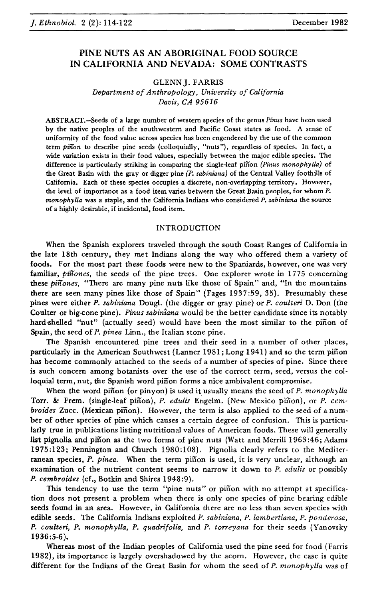# PINE NUTS AS AN ABORIGINAL FOOD SOURCE IN CALIFORNIA AND NEVADA: SOME CONTRASTS

## GLENN J. FARRIS

*Department ofAnthropology, University of California Davis, CA 95616*

ABSTRACT.-Seeds of a large number of western species of the genus *Pinus* have been used by the native peoples of the southwestern and Pacific Coast states as food. A sense of uniformity of the food value across species has been engendered by the use of the common term *pinon* to describe pine seeds (colloquially, "nuts"), regardless of species. In fact, a wide variation exists in their food values, especially between the major edible species. The difference is particularly striking in comparing the single-leaf pinon *(Pinus monophylla)* of the Great Basin with the gray or digger pine *(P. sabiniana)* of the Central Valley foothills of California. Each of these species occupies a discrete, non-overlapping territory. However, the level of importance as a food item varies between the Great Basin peoples, for whom P. *monophyUa* was a staple, and the California Indians who considered *P. sabiniana* the source of a highly desirable, if incidental, food item.

#### INTRODUCTION

When the Spanish explorers traveled through the south Coast Ranges of California in the late 18th century, they met Indians along the way who offered them a variety of foods. For the most part these foods were new to the Spaniards, however, one was very familiar, *pinones*, the seeds of the pine trees. One explorer wrote in 1775 concerning these *pinones*, "There are many pine nuts like those of Spain" and, "In the mountains there are seen many pines like those of Spain" (Fages 1937:59,35). Presumably these pines were either *P. sabiniana* Dougl. (the digger or gray pine) or *P. coulteri* D. Don (the Coulter or big-cone pine). *Pinus sabintana* would be the better candidate since its notably hard-shelled "nut" (actually seed) would have been the most similar to the pinon of Spain, the seed of *P. pinea* Linn., the Italian stone pine.

The Spanish encountered pine trees and their seed in a number of other places, particularly in the American Southwest (Lanner 1981; Long 1941) and so the term pinon has become commonly attached to the seeds of a number of species of pine. Since there is such concern among botanists over the use of the correct term, seed, versus the colloquial term, nut, the Spanish word pinon forms a nice ambivalent compromise.

When the word pinon (or pinyon) is used it usually means the seed of *P. monophylla* Torr. & Frem. (single-leaf piñon), *P. edulis* Engelm. (New Mexico piñon), or *P. cembroides* Zucc. (Mexican pinon). However, the term is also applied to the seed of a number of other species of pine which causes a certain degree of confusion. This is particularly true in publications listing nutritional values of American foods. These will generally list pignolia and piñon as the two forms of pine nuts (Watt and Merrill 1963:46; Adams 1975:123; Pennington and Church 1980:108). Pignolia clearly refers to the Mediterranean species, *P. pinea.* When the term pinon is used, it is very unclear, although an examination of the nutrient content seems to narrow it down to *P. edulis* or possibly *P. cembroides* (cf., Botkin and Shires 1948:9).

This tendency to use the term "pine nuts" or piñon with no attempt at specification does not present a problem when there is only one species of pine bearing edible seeds found in an area. However, in California there are no less than seven species with edible seeds. The California Indians exploited *P. sabiniana, P. lambertiana, P. ponderosa, P. coulteri, P. monophylla, P. quadrifolia,* and *P. torreyana* for their seeds (Yanovsky 1936:5-6).

Whereas most of the Indian peoples of California used the pine seed for food (Farris 1982), its importance is largely overshadowed by the acorn. However, the case is quite different for the Indians of the Great Basin for whom the seed of *P. monophylla* was of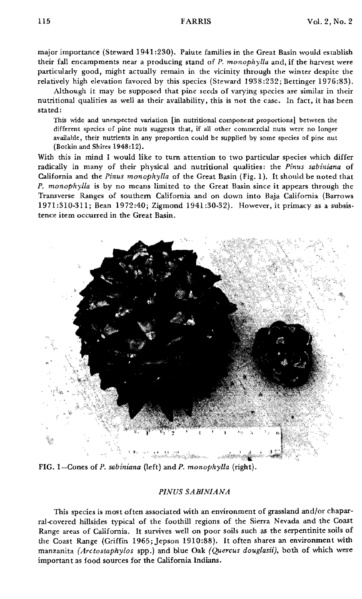major importance (Steward 1941 :230). Paiute families in the Great Basin would establish their fall encampments near a producing stand of *P. monophylla* and, if the harvest were particularly good, might actually remain in the vicinity through the winter despite the relatively high elevation favored by this species (Steward 1938:232; Bettinger 1976:83).

Although it may be supposed that pine seeds of varying species are similar in their nutritional qualities as well as their availability, this is not the case. In fact, it has been stated:

This wide and unexpected variation [in nutritional component proportions] between the different species of pine nuts suggests that, if all other commercial nuts were no longer available, their nutrients in any proportion could be supplied by some species of pine nut (Botkin and Shires 1948:12).

With this in mind I would like to tum attention to two particular species which differ radically in many of their physical and nutritional qualities: the *Pinus sabiniana* of Califomia and the *Pinus monophylla* of the Great Basin (Fig. 1). It should be noted that *P. monophylla* is by no means limited to the Great Basin since it appears through the Transverse Ranges of southem Califomia and on down into Baja Califomia (Barrows 1971:310-311; Bean 1972:40; Zigmond 1941:30-32). However, it primacy as a subsis· tence item occurred in the Great Basin.



FIG. 1-Cones of *P. sabiniana* (left) and *P. monophylla* (right).

## *PINUS SABIN/ANA*

This species is most often associated with an environment of grassland and/or chaparral-covered hillsides typical of the foothill regions of the Sierra Nevada and the Coast Range areas of Califomia. It survives well on poor soils such as the serpentinite soils of the Coast Range (Griffin 1965; Jepson 1910:88). It often shares an environment with manzanita *(Arctostaphylos* spp.) and blue Oak *{Quercus douglasii},* both of which were important as food sources for the Califomia Indians.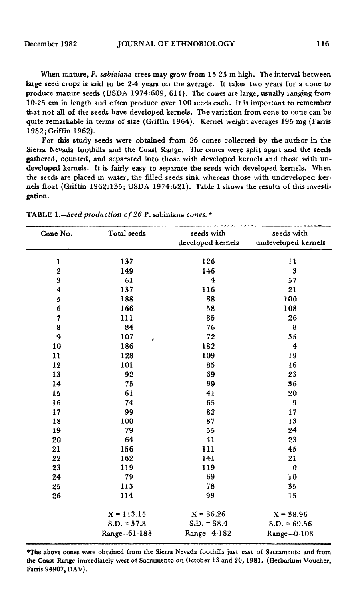When mature, *P. sabiniana* trees may grow from 15·25 m high. The interval between large seed crops is said to be  $2-4$  years on the average. It takes two years for a cone to produce mature seeds (USDA 1974:609, 611). The cones are large, usually ranging from 10-25 cm in length and often produce over 100 seeds each. It is important to remember that not all of the seeds have developed kernels. The variation from cone to cone can be quite remarkable in terms of size (Griffin 1964). Kernel weight averages 195 mg (Farris 1982; Griffin 1962).

For this study seeds were obtained from 26 cones collected by the author in the Sierra Nevada foothills and the Coast Range. The cones were split apart and the seeds gathered. counted, and separated into those with developed kernels and those with un· developed kernels. It is fairly easy to separate the seeds with developed kernels. When the seeds are placed in water. the filled seeds sink whereas those with undeveloped kernels float (Griffm 1962:135; USDA 1974;621). Table 1 shows the results of this investigation.

| Cone No.                | Total seeds   | seeds with<br>developed kernels | seeds with<br>undeveloped kernels |
|-------------------------|---------------|---------------------------------|-----------------------------------|
| 1                       | 137           | 126                             | 11                                |
| $\overline{\mathbf{2}}$ | 149           | 146                             | 3                                 |
| 3                       | 61            | 4                               | 57                                |
| $\overline{4}$          | 137           | 116                             | 21                                |
| $\mathbf 5$             | 188           | 88                              | 100                               |
| 6                       | 166           | 58                              | 108                               |
| $\overline{7}$          | 111           | 85                              | 26                                |
| 8                       | 84            | 76                              | 8                                 |
| 9                       | 107           | 72                              | 35                                |
| 10                      | ø.<br>186     | 182                             | $\boldsymbol{4}$                  |
| 11                      | 128           | 109                             | 19                                |
| 12                      | 101           | 85                              | 16                                |
| 13                      | 92            | 69                              | 23                                |
| 14                      | 75            | 39                              | 36                                |
| 15                      | 61            | 41                              | 20                                |
| 16                      | 74            | 65                              | 9                                 |
| 17                      | 99            | 82                              | 17                                |
| 18                      | 100           | 87                              | 13                                |
| 19                      | 79            | 55                              | 24                                |
| 20                      | 64            | 41                              | 23                                |
| 21                      | 156           | 111                             | 45                                |
| 22                      | 162           | 141                             | 21                                |
| 23                      | 119           | 119                             | $\bf{0}$                          |
| 24                      | 79            | 69                              | 10                                |
| 25                      | 113           | 78                              | 35                                |
| 26                      | 114           | 99                              | 15                                |
|                         |               |                                 |                                   |
|                         | $X = 113.15$  | $X = 86.26$                     | $X = 38.96$                       |
|                         | $S.D. = 37.8$ | $S.D. = 38.4$                   | $S.D. = 69.56$                    |
|                         | Range-61-188  | Range-4-182                     | Range-0-108                       |

TABLE *I.-Seed production of* 26 P. sabiniana *cones.* '"

\*The above cones were obtained from the Sierra Nevada foothills just east of Sacramento and from the Coast Range immediately west of Sacramento on October 13 and 20, 1981. (Herbarium Voucher. Farris 94907. DAV).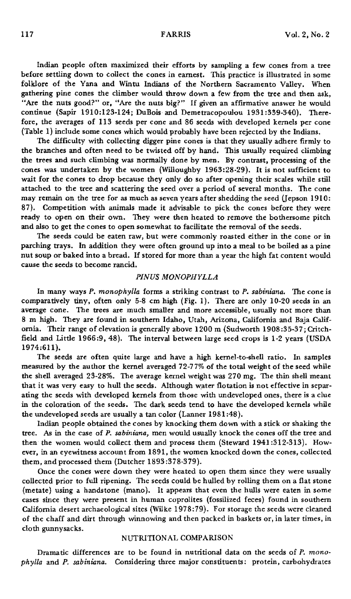Indian people often maximized their efforts by sampling a few cones from a tree before settling down to collect the cones in earnest. This practice is illustrated in some folklore of the Yana and Wintu Indians of the Northern Sacramento Valley. When gathering pine cones the climber would throw down a few from the tree and then ask, "Are the nuts good?" or, "Are the nuts big?" If given an affirmative answer he would continue (Sapir 1910:123-124; DuBois and Demetracopoulou 1931 :339-340). Therefore, the averages of 113 seeds per cone and 86 seeds with developed kernels per cone (Table 1) include some cones which would probably have been rejected by the Indians.

The difficulty with collecting digger pine cones is that they usually adhere firmly to the branches and often need to be twisted off by hand. This usually required climbing the trees and such climbing was normally done by men. By contrast, processing of the cones was undertaken by the women (Willoughby 1963:28-29). It is not sufficient to wait for the cones to drop because they only do so after opening their scales while still attached to the tree and scattering the seed over a period of several months. The cone may remain on the tree for as much as seven years after shedding the seed (Jepson 1910: 87). Competition with animals made it advisable to pick the cones before they were ready to open on their own. They were then heated to remove the bothersome pitch and also to get the cones to open somewhat to facilitate the removal of the seeds.

The seeds could be eaten raw, but were commonly roasted either in the cone or in parching trays. In addition they were often ground up into a meal to be boiled as a pine nut soup or baked into a bread. If stored for more than a year the high fat content would cause the seeds to become rancid.

## *PINUS MONOPHYLLA*

In many ways *P. monophylla* forms a striking contrast to *P. sabiniana.* The cone is comparatively tiny, often only 5-8 cm high (Fig. 1). There are only 10-20 seeds in an average cone. The trees are much smaller and more accessible, usually not more than 8 m high. They are found in southern Idaho, Utah, Arizona, California and Baja California. Their range of elevation is generally above 1200 m (Sudworth 1908 :35-37; Critchfield and Little 1966:9,48). The interval between large seed crops is 1-2 years (USDA 1974:611).

The seeds are often quite large and have a high kernel-to-shell ratio. In samples measured by the author the kernel averaged 72-77% of the total weight of the seed while the shell averaged 23-28%. The average kernel weight was 270 mg. The thin shell meant that it was very easy to hull the seeds. Although water flotation is not effective in separating the seeds with developed kernels from those with undeveloped ones, there is a clue in the coloration of the seeds. The dark seeds tend to have the developed kernels while the undeveloped seeds are usually a tan color (Lanner 1981:48).

Indian people obtained the cones by knocking them down with a stick or shaking the tree. As in the case of *P. sabiniana,* men would usually knock the cones off the tree and then the women would collect them and process them (Steward 1941:312-313). However, in an eyewitness account from 1891, the women knocked down the cones, collected them, and processed them (Dutcher 1893:378-379).

Once the cones were down they were heated to open them since they were usually collected prior to full ripening. The seeds could be hulled by rolling them on a flat stone (metate) using a handstone (mano). It appears that even the hulls were eaten in some cases since they were present in human coprolites (fossilized feces) found in southern California desert archaeological sites (Wilke 1978:79). For storage the seeds were cleaned of the chaff and dirt through winnowing and then packed in baskets or, in later times, in cloth gunnysacks.

## NUTRITIONAL COMPARISON

Dramatic differences are to be found in nutritional data on the seeds of *P. monophylla* and *P. sabiniana.* Considering three major constituents: protein, carbohydrates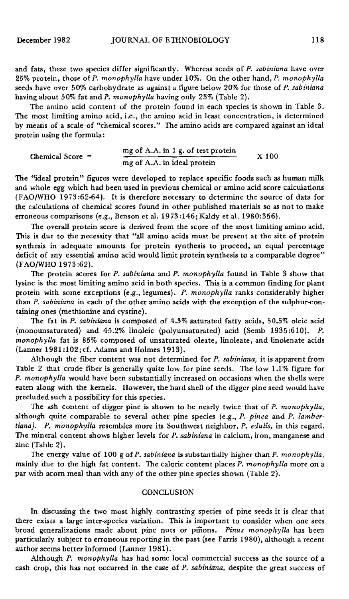and fats, these two species differ significantly. Whereas seeds of *P. sabiniana* have over 25% protein, those of *P. monophylla* have under 10%. On the other hand, *P. monophylla* seeds have over 50% carbohydrate as against a figure below 20% for those of *P. sabiniana* having about 50% fat and *P. monophylla* having only 23% (Table 2).

The amino acid content of the protein found in each species is shown in Table 3. The most limiting amino acid, Le., the amino acid in least concentration, is determined by means of a scale of "chemical scores." The amino acids are compared against an ideal protein using the formula:

| Chemical Score $=$ | mg of A.A. in 1 g. of test protein<br>and the following and the construction of the construction of the construction of the construction of the construction of the construction of the construction of the construction of the construction of the construction of | $X$ 100 |
|--------------------|---------------------------------------------------------------------------------------------------------------------------------------------------------------------------------------------------------------------------------------------------------------------|---------|
|                    | mg of A.A. in ideal protein                                                                                                                                                                                                                                         |         |

The "ideal protein" figures were developed to replace specific foods such as human milk and whole egg which had been used in previous chemical or amino acid score calculations (FAO/WHO 1973:62-64). It is therefore necessary to determine the source of data for the calculations of chemical scores found in other published materials so as not to make erroneous comparisons (e.g., Benson et al. 1973:146; Kaldy et al. 1980:356).

The overall protein score is derived from the score of the most limiting amino acid. This is due to the necessity that "all amino acids must be present at the site of protein synthesis in adequate amounts for protein synthesis to proceed, an equal percentage deficit of any essential amino acid would limit protein synthesis to a comparable degree" (FAO/WHO 1973:62).

The protein scores for *P. sabiniana* and *P. monophylla* found in Table 3 show that lysine is the most limiting amino acid in both species. This is a common finding for plant protein with some exceptions (e.g., legumes). *P. monophylla* ranks considerably higher than *P. sabiniana* in each of the other amino acids with the exception of the sulphur-containing ones (methionine and cystine).

The fat in *P. sabiniana* is composed of 4.3% saturated fatty acids, 50.5% oleic acid (monounsaturated) and 45.2% linoleic (polyunsaturated) acid (Semb 1935:610). P. *monophylla* fat is 85% composed of unsaturated oleate, linoleate, and linolenate acids (Lanner 1981:102;cf. Adams and Holmes 1913).

Although the fiber content was not determined for *P. sabiniana,* it is apparent from Table 2 that crude fiber is generally quite low for pine seeds. The low 1.1% figure for *P. monophylla* would have been substantially increased on occasions when the shells were eaten along with the kernels. However, the hard shell of the digger pine seed would have precluded such a possibility for this species.

The ash content of digger pine is shown to be nearly twice that of *P. monophylla,* although quite comparable to several other pine species (e.g., *P. pinea* and *P. lambertiana). P. monophylla* resembles more its Southwest neighbor, *P. edulis,* in this regard. The mineral content shows higher levels for *P. sabiniana* in calcium, iron, manganese and zinc (Table 2).

The energy value of 100 g of *P. sabiniana* is substantially higher than *P. monophylla,* mainly due to the high fat content. The caloric content places *P. monophylla* more on a par with acorn meal than with any of the other pine species shown (Table 2).

## **CONCLUSION**

In discussing the two most highly contrasting species of pine seeds it is clear that there exists a large inter-species variation. This is important to consider when one sees broad generalizations made about pine nuts or pinons. *Pinus monophylla* has been particularly subject to erroneous reporting in the past (see Farris 1980), although a recent author seems better informed (Lanner 1981).

Although *P. monophylla* has had some local commercial success as the source of a cash crop, this has not occurred in the case of *P. sabiniana,* despite the great success of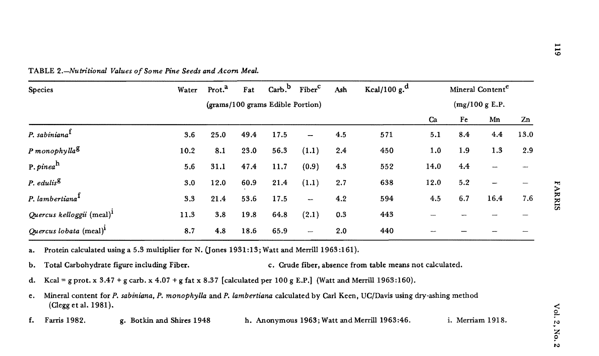| <b>Species</b>                        | Water                            | Prot. <sup>a</sup> | Fat  |      | Carb. <sup>b</sup> Fiber <sup>c</sup> | Ash | Kcal/100 $g^d$ | Mineral Content <sup>e</sup> |     |      |      |
|---------------------------------------|----------------------------------|--------------------|------|------|---------------------------------------|-----|----------------|------------------------------|-----|------|------|
|                                       | (grams/100 grams Edible Portion) |                    |      |      |                                       |     | (mg/100 g E.P. |                              |     |      |      |
|                                       |                                  |                    |      |      |                                       |     |                | Ca                           | Fe  | Mn   | Zn   |
| P. sabiniana <sup>1</sup>             | 3.6                              | 25.0               | 49.4 | 17.5 | ---                                   | 4.5 | 571            | 5.1                          | 8.4 | 4.4  | 13.0 |
| P monophylla <sup>g</sup>             | 10.2                             | 8.1                | 23.0 | 56.3 | (1.1)                                 | 2.4 | 450            | 1.0                          | 1.9 | 1.3  | 2.9  |
| P. pinea $^{\rm h}$                   | 5.6                              | 31.1               | 47.4 | 11.7 | (0.9)                                 | 4.3 | 552            | 14.0                         | 4.4 |      |      |
| P. edulis <sup>g</sup>                | 3.0                              | 12.0               | 60.9 | 21.4 | (1.1)                                 | 2.7 | 638            | 12.0                         | 5.2 |      |      |
| P. lambertiana <sup>t</sup>           | 3.3                              | 21.4               | 53.6 | 17.5 | $\overline{\phantom{a}}$              | 4.2 | 594            | 4.5                          | 6.7 | 16.4 | 7.6  |
| Quercus kelloggii (meal) <sup>1</sup> | 11.3                             | 3.8                | 19.8 | 64.8 | (2.1)                                 | 0.3 | 443            |                              |     |      |      |
| Quercus lobata (meal) <sup>1</sup>    | 8.7                              | 4.8                | 18.6 | 65.9 | ÷,                                    | 2.0 | 440            |                              |     |      |      |

TABLE *2.-Nutritional Values of Some Pine Seeds and Acorn Meal.*

a. Protein calculated using a 5.3 multiplier for N. (Jones 1931:13; Watt and Merrill 1963:161).

- b. Total Carbohydrate figure including Fiber. c. Crude fiber, absence from table means not calculated.
- d. Kcal = g prot. x 3.47 + g carb. x 4.07 + g fat x 8.37 [calculated per 100 g E.P.] (Watt and Merrill 1963:160).
- Mineral content for *P. sabiniana, P. monophylla* and *P. lambertiana* calculated by Carl Keen, DC/Davis using dry-ashing method (Clegg et al. 1981). e.
- f. Farris 1982. g. Botkin and Shires 1948 h. Anonymous 1963; Watt and Merrill 1963:46. i. Merriam 1918.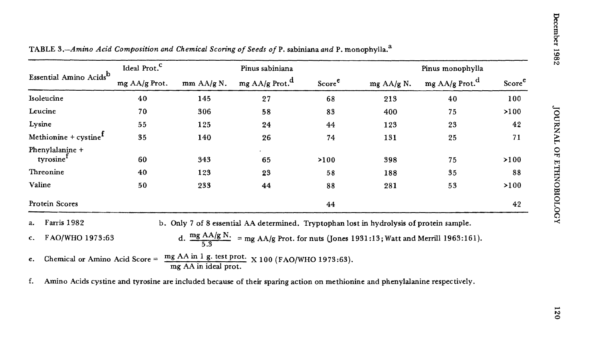|                                          | Ideal Prot. <sup>C</sup> |                      | Pinus sabiniana                                                                                         |                    |              | Pinus monophylla           |                    |  |  |
|------------------------------------------|--------------------------|----------------------|---------------------------------------------------------------------------------------------------------|--------------------|--------------|----------------------------|--------------------|--|--|
| Essential Amino Acids <sup>b</sup>       | mg AA/g Prot.            | mm AA/g N.           | mg AA/g Prot. <sup>d</sup>                                                                              | Score <sup>e</sup> | mg $AA/g$ N. | mg AA/g Prot. <sup>d</sup> | Score <sup>e</sup> |  |  |
| Isoleucine                               | 40                       | 145                  | 27                                                                                                      | 68                 | 213          | 40                         | 100                |  |  |
| Leucine                                  | 70                       | 306                  | 58                                                                                                      | 83                 | 400          | 75                         | >100               |  |  |
| Lysine                                   | 55                       | 125                  | 24                                                                                                      | 44                 | 123          | 23                         | 42                 |  |  |
| Methionine + $cystineT$                  | 35                       | 140                  | 26                                                                                                      | 74                 | 131          | 25                         | 71                 |  |  |
| Phenylalanine +<br>tyrosine <sup>1</sup> | 60                       | 343                  | 65                                                                                                      | >100               | 398          | 75                         | >100               |  |  |
| Threonine                                | 40                       | 123                  | 23                                                                                                      | 58                 | 188          | 35                         | 88                 |  |  |
| Valine                                   | 50                       | 233                  | 44                                                                                                      | 88                 | 281          | 53                         | >100               |  |  |
| Protein Scores                           |                          |                      |                                                                                                         | 44                 |              |                            | 42                 |  |  |
| Farris 1982<br>$a_{\star}$               |                          |                      | b. Only 7 of 8 essential AA determined. Tryptophan lost in hydrolysis of protein sample.                |                    |              |                            |                    |  |  |
| FAO/WHO 1973:63<br>$\mathbf{c}$ .        |                          |                      | d. $\frac{mg \text{ AAg N.}}{5.3}$ = mg AA/g Prot. for nuts (Jones 1931:13; Watt and Merrill 1963:161). |                    |              |                            |                    |  |  |
| Chemical or Amino Acid Score $=$<br>e.   |                          | mg AA in ideal prot. | mg AA in 1 g. test prot. X 100 (FAO/WHO 1973:63).                                                       |                    |              |                            |                    |  |  |

TABLE *3.-Amino Acid Composition and Chemical Scoring of Seeds ofP.* sabiniana *and* P. monophylla.a

f. Amino Acids cystine and tyrosine are included because of their sparing action on methionine and phenylalanine respectively.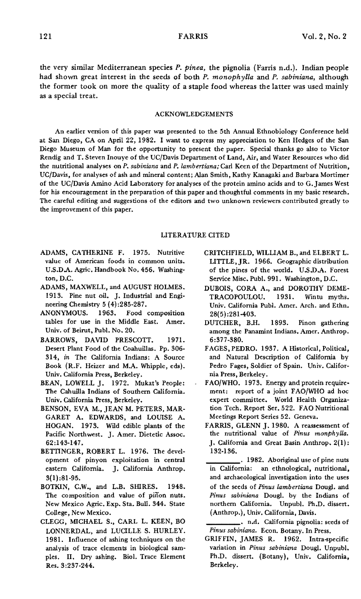the very similar Mediterranean species *P. pinea,* the pignolia (Farris n.d.). Indian people had shown great interest in the seeds of both *P. monophylla* and *P. sabiniana,* although the former took on more the quality of a staple food whereas the latter was used mainly as a special treat.

#### ACKNOWLEDGEMENTS

An earlier version of this paper was presented to the 5th Annual Ethnobiology Conference held at San Diego, CA on April 22, 1982. I want to express my appreciation to Ken Hedges of the San Diego Museum of Man for the opportunity to present the paper. Special thanks go also to Victor Rendig and T. Steven Inouye of the UC/Davis Department of Land, Air, and Water Resources who did the nutritional analyses on *P. sabiniana* and *P. lambertiana;* Carl Keen of the Department of Nutrition, UC/Davis, for analyses of ash and mineral content; Alan Smith, Kathy Kanagaki and Barbara Mortimer of the UC/Davis Amino Acid Laboratory for analyses of the protein amino acids and to G.James West for his encouragement in the preparation of this paper and thoughtful comments in my basic research. The careful editing and suggestions of the editors and two unknown reviewers contributed greatly to the improvement of this paper.

### LITERATURE CITED

- ADAMS, CATHERINE F. 1975. Nutritive value of American foods in common units. U.S.D.A. Agric. Handbook No. 456. Washington, D.C.
- ADAMS, MAXWELL, and AUGUST HOLMES. 1913. Pine nut oil. J. Industrial and Engineering Chemistry 5 (4) :285-287.
- ANONYMOUS. 1963. Food composition tables for use in the Middle East. Amer. Univ. of Beirut, Publ. No. 20.
- BARROWS, DAVID PRESCOTT. 1971. Desert Plant Food of the Coahuillas. Pp. 306- *314, in* The California Indians: A Source Book (R.F. Heizer and M.A. Whipple, eds). Univ. California Press, Berkeley.
- BEAN, LOWELL J. 1972. Mukat's People: The Cahuilla Indians of Southern California. Univ. California Press, Berkeley.
- BENSON, EVA M., JEAN M. PETERS, MAR-GARET A. EDWARDS, and LOUISE A. HOGAN. 1973. Wild edible plants of the Pacific Northwest. J. Amer. Dietetic Assoc. 62:143-147.
- BETTINGER, ROBERT L. 1976. The development of pinyon exploitation in central eastern California. J. California Anthrop. 3(1):81-95.
- BOTKIN, C.W., and L.B. SHIRES. 1948. The composition and value of pinon nuts. New Mexico Agric. Exp. Sta. Bull. 344. State College, New Mexico.
- CLEGG, MICHAEL S., CARL L. KEEN, BO LONNERDAL, and LUCILLE S. HURLEY. 1981. Influence of ashing techniques on the analysis of trace elements in biological samples. II. Dry ashing. Bioi. Trace Element Res. 3:237-244.
- CRITCHFIELD, WILLIAM B., and ELBERT L. LITTLE, JR. 1966. Geographic distribution of the pines of the world. U.S.D.A. Forest Service Misc. Pub!. 991. Washington, D.C.
- DUBOIS, CORA A., and DOROTHY DEME-<br>TRACOPOULOU. 1931. Wintu myths. TRACOPOULOU. 1931. Wintu myths. Univ. California Pub!. Amer. Arch. and Ethn. 28(5):281-403.
- DUTCHER, Bll. 1893. Pinon gathering among the Panamint Indians. Amer. Anthrop. 6:377-380.
- FAGES, PEDRO. 1937. A Historical, Political, and Natural Description of California by Pedro Fages, Soldier of Spain. Univ. California Press, Berkeley.
- FAO/WHO. 1973. Energy and protein requirement: report of a joint FAD/WHO ad hoc expert committee. World Health Organization Tech. Report Ser.522. FAO Nutritional Meetings Report Series 52. Geneva.
- FARRIS, GLENN J. 1980. A reassessment of the nutritional value of *Pinus monphylla.* J. California and Great Basin Anthrop. 2(1): 132·136.
- -. 1982. Aboriginal use of pine nuts in California: an ethnological, nutritional, and archaeological investigation into the uses of the seeds of *Pinus lambertiana* Doug!. and *Pinus sabiniana* Doug!. by the Indians of northern California. Unpubl. Ph.D. dissert. (Anthrop.), Univ. California, Davis.
- **\_\_\_\_•** n.d. California pignolia: seeds of *Pinus sabiniana.* Econ. Botany. In Press.
- GRIFFIN, JAMES R. 1962. Intra-specific variation in *Pinus sabiniana* Doug!. Unpubl. Ph.D. dissert. (Botany), Univ. California, Berkeley.